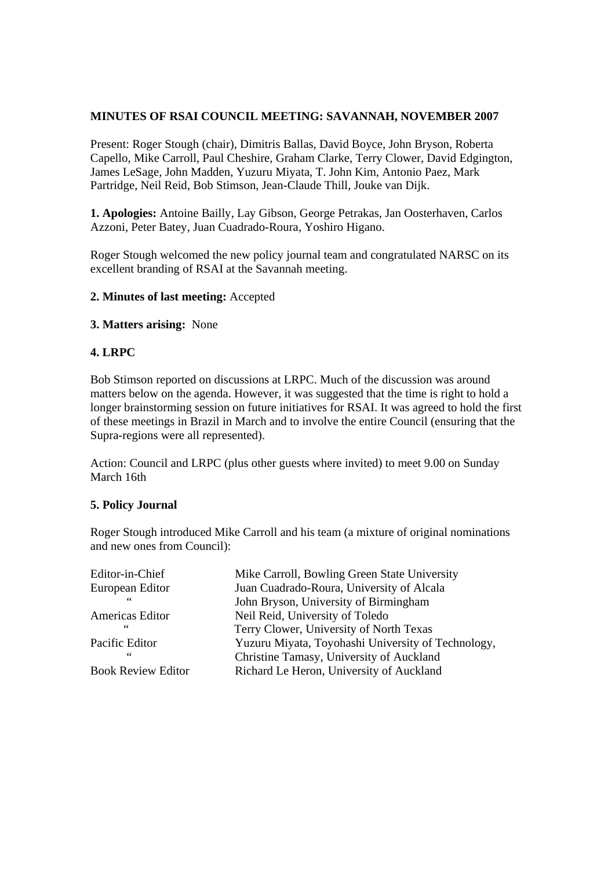# **MINUTES OF RSAI COUNCIL MEETING: SAVANNAH, NOVEMBER 2007**

Present: Roger Stough (chair), Dimitris Ballas, David Boyce, John Bryson, Roberta Capello, Mike Carroll, Paul Cheshire, Graham Clarke, Terry Clower, David Edgington, James LeSage, John Madden, Yuzuru Miyata, T. John Kim, Antonio Paez, Mark Partridge, Neil Reid, Bob Stimson, Jean-Claude Thill, Jouke van Dijk.

**1. Apologies:** Antoine Bailly, Lay Gibson, George Petrakas, Jan Oosterhaven, Carlos Azzoni, Peter Batey, Juan Cuadrado-Roura, Yoshiro Higano.

Roger Stough welcomed the new policy journal team and congratulated NARSC on its excellent branding of RSAI at the Savannah meeting.

#### **2. Minutes of last meeting:** Accepted

#### **3. Matters arising:** None

### **4. LRPC**

Bob Stimson reported on discussions at LRPC. Much of the discussion was around matters below on the agenda. However, it was suggested that the time is right to hold a longer brainstorming session on future initiatives for RSAI. It was agreed to hold the first of these meetings in Brazil in March and to involve the entire Council (ensuring that the Supra-regions were all represented).

Action: Council and LRPC (plus other guests where invited) to meet 9.00 on Sunday March 16th

#### **5. Policy Journal**

Roger Stough introduced Mike Carroll and his team (a mixture of original nominations and new ones from Council):

| Editor-in-Chief           | Mike Carroll, Bowling Green State University       |
|---------------------------|----------------------------------------------------|
| European Editor           | Juan Cuadrado-Roura, University of Alcala          |
| 66                        | John Bryson, University of Birmingham              |
| Americas Editor           | Neil Reid, University of Toledo                    |
| 66                        | Terry Clower, University of North Texas            |
| Pacific Editor            | Yuzuru Miyata, Toyohashi University of Technology, |
| 66                        | Christine Tamasy, University of Auckland           |
| <b>Book Review Editor</b> | Richard Le Heron, University of Auckland           |
|                           |                                                    |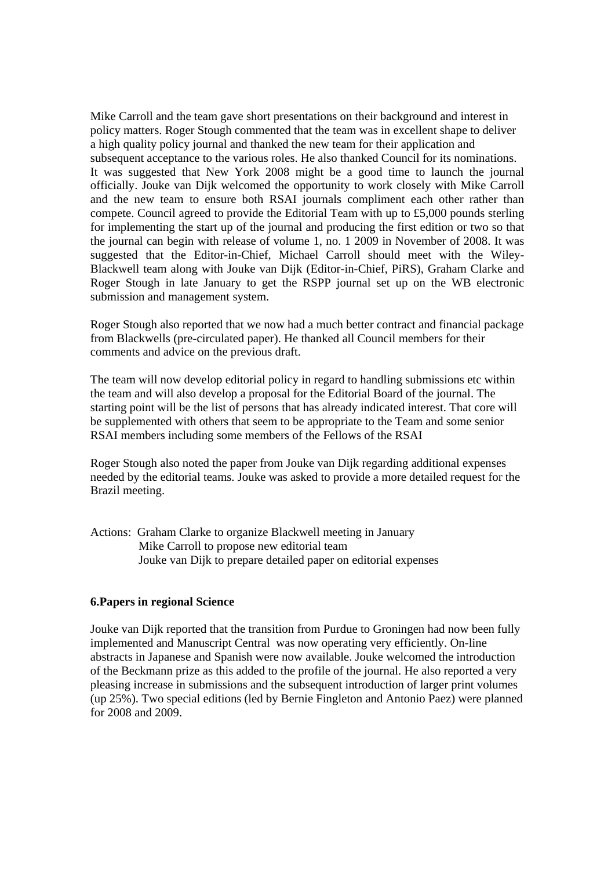Mike Carroll and the team gave short presentations on their background and interest in policy matters. Roger Stough commented that the team was in excellent shape to deliver a high quality policy journal and thanked the new team for their application and subsequent acceptance to the various roles. He also thanked Council for its nominations. It was suggested that New York 2008 might be a good time to launch the journal officially. Jouke van Dijk welcomed the opportunity to work closely with Mike Carroll and the new team to ensure both RSAI journals compliment each other rather than compete. Council agreed to provide the Editorial Team with up to £5,000 pounds sterling for implementing the start up of the journal and producing the first edition or two so that the journal can begin with release of volume 1, no. 1 2009 in November of 2008. It was suggested that the Editor-in-Chief, Michael Carroll should meet with the Wiley-Blackwell team along with Jouke van Dijk (Editor-in-Chief, PiRS), Graham Clarke and Roger Stough in late January to get the RSPP journal set up on the WB electronic submission and management system.

Roger Stough also reported that we now had a much better contract and financial package from Blackwells (pre-circulated paper). He thanked all Council members for their comments and advice on the previous draft.

The team will now develop editorial policy in regard to handling submissions etc within the team and will also develop a proposal for the Editorial Board of the journal. The starting point will be the list of persons that has already indicated interest. That core will be supplemented with others that seem to be appropriate to the Team and some senior RSAI members including some members of the Fellows of the RSAI

Roger Stough also noted the paper from Jouke van Dijk regarding additional expenses needed by the editorial teams. Jouke was asked to provide a more detailed request for the Brazil meeting.

Actions: Graham Clarke to organize Blackwell meeting in January Mike Carroll to propose new editorial team Jouke van Dijk to prepare detailed paper on editorial expenses

#### **6.Papers in regional Science**

Jouke van Dijk reported that the transition from Purdue to Groningen had now been fully implemented and Manuscript Central was now operating very efficiently. On-line abstracts in Japanese and Spanish were now available. Jouke welcomed the introduction of the Beckmann prize as this added to the profile of the journal. He also reported a very pleasing increase in submissions and the subsequent introduction of larger print volumes (up 25%). Two special editions (led by Bernie Fingleton and Antonio Paez) were planned for 2008 and 2009.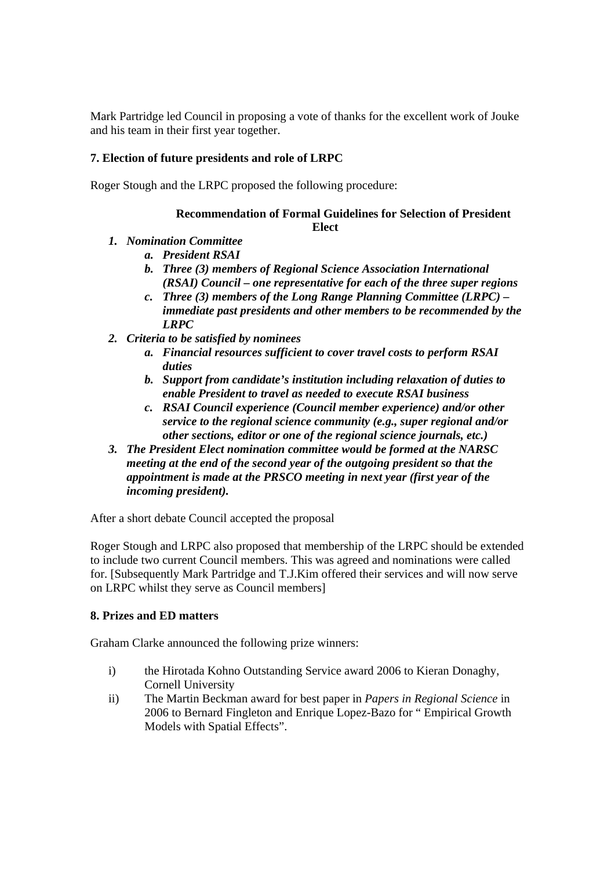Mark Partridge led Council in proposing a vote of thanks for the excellent work of Jouke and his team in their first year together.

# **7. Election of future presidents and role of LRPC**

Roger Stough and the LRPC proposed the following procedure:

# **Recommendation of Formal Guidelines for Selection of President Elect**

- *1. Nomination Committee* 
	- *a. President RSAI*
	- *b. Three (3) members of Regional Science Association International (RSAI) Council – one representative for each of the three super regions*
	- *c. Three (3) members of the Long Range Planning Committee (LRPC) immediate past presidents and other members to be recommended by the LRPC*
- *2. Criteria to be satisfied by nominees* 
	- *a. Financial resources sufficient to cover travel costs to perform RSAI duties*
	- *b. Support from candidate's institution including relaxation of duties to enable President to travel as needed to execute RSAI business*
	- *c. RSAI Council experience (Council member experience) and/or other service to the regional science community (e.g., super regional and/or other sections, editor or one of the regional science journals, etc.)*
- *3. The President Elect nomination committee would be formed at the NARSC meeting at the end of the second year of the outgoing president so that the appointment is made at the PRSCO meeting in next year (first year of the incoming president).*

After a short debate Council accepted the proposal

Roger Stough and LRPC also proposed that membership of the LRPC should be extended to include two current Council members. This was agreed and nominations were called for. [Subsequently Mark Partridge and T.J.Kim offered their services and will now serve on LRPC whilst they serve as Council members]

# **8. Prizes and ED matters**

Graham Clarke announced the following prize winners:

- i) the Hirotada Kohno Outstanding Service award 2006 to Kieran Donaghy, Cornell University
- ii) The Martin Beckman award for best paper in *Papers in Regional Science* in 2006 to Bernard Fingleton and Enrique Lopez-Bazo for " Empirical Growth Models with Spatial Effects".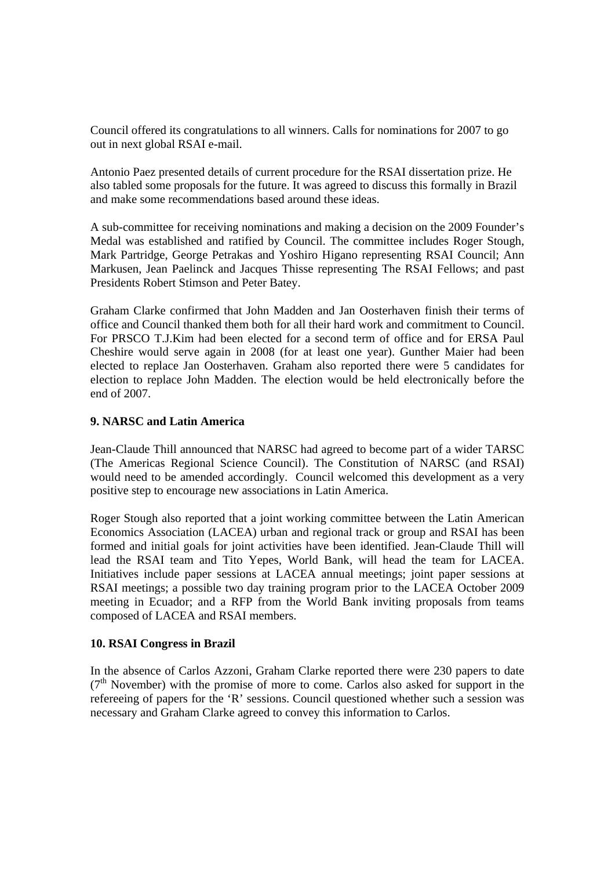Council offered its congratulations to all winners. Calls for nominations for 2007 to go out in next global RSAI e-mail.

Antonio Paez presented details of current procedure for the RSAI dissertation prize. He also tabled some proposals for the future. It was agreed to discuss this formally in Brazil and make some recommendations based around these ideas.

A sub-committee for receiving nominations and making a decision on the 2009 Founder's Medal was established and ratified by Council. The committee includes Roger Stough, Mark Partridge, George Petrakas and Yoshiro Higano representing RSAI Council; Ann Markusen, Jean Paelinck and Jacques Thisse representing The RSAI Fellows; and past Presidents Robert Stimson and Peter Batey.

Graham Clarke confirmed that John Madden and Jan Oosterhaven finish their terms of office and Council thanked them both for all their hard work and commitment to Council. For PRSCO T.J.Kim had been elected for a second term of office and for ERSA Paul Cheshire would serve again in 2008 (for at least one year). Gunther Maier had been elected to replace Jan Oosterhaven. Graham also reported there were 5 candidates for election to replace John Madden. The election would be held electronically before the end of 2007.

### **9. NARSC and Latin America**

Jean-Claude Thill announced that NARSC had agreed to become part of a wider TARSC (The Americas Regional Science Council). The Constitution of NARSC (and RSAI) would need to be amended accordingly. Council welcomed this development as a very positive step to encourage new associations in Latin America.

Roger Stough also reported that a joint working committee between the Latin American Economics Association (LACEA) urban and regional track or group and RSAI has been formed and initial goals for joint activities have been identified. Jean-Claude Thill will lead the RSAI team and Tito Yepes, World Bank, will head the team for LACEA. Initiatives include paper sessions at LACEA annual meetings; joint paper sessions at RSAI meetings; a possible two day training program prior to the LACEA October 2009 meeting in Ecuador; and a RFP from the World Bank inviting proposals from teams composed of LACEA and RSAI members.

#### **10. RSAI Congress in Brazil**

In the absence of Carlos Azzoni, Graham Clarke reported there were 230 papers to date  $(7<sup>th</sup>$  November) with the promise of more to come. Carlos also asked for support in the refereeing of papers for the 'R' sessions. Council questioned whether such a session was necessary and Graham Clarke agreed to convey this information to Carlos.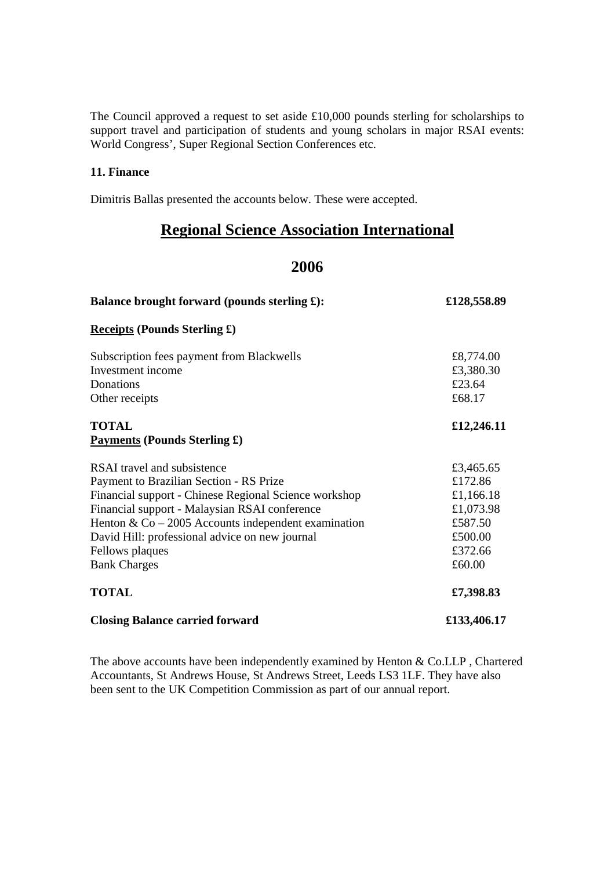The Council approved a request to set aside £10,000 pounds sterling for scholarships to support travel and participation of students and young scholars in major RSAI events: World Congress', Super Regional Section Conferences etc.

### **11. Finance**

Dimitris Ballas presented the accounts below. These were accepted.

# **Regional Science Association International**

# **2006**

| Balance brought forward (pounds sterling £):          | £128,558.89 |
|-------------------------------------------------------|-------------|
| <b>Receipts (Pounds Sterling £)</b>                   |             |
| Subscription fees payment from Blackwells             | £8,774.00   |
| Investment income                                     | £3,380.30   |
| Donations                                             | £23.64      |
| Other receipts                                        | £68.17      |
| <b>TOTAL</b>                                          | £12,246.11  |
| <b>Payments (Pounds Sterling £)</b>                   |             |
| RSAI travel and subsistence                           | £3,465.65   |
| Payment to Brazilian Section - RS Prize               | £172.86     |
| Financial support - Chinese Regional Science workshop | £1,166.18   |
| Financial support - Malaysian RSAI conference         | £1,073.98   |
| Henton & $Co - 2005$ Accounts independent examination | £587.50     |
| David Hill: professional advice on new journal        | £500.00     |
| Fellows plaques                                       | £372.66     |
| <b>Bank Charges</b>                                   | £60.00      |
| <b>TOTAL</b>                                          | £7,398.83   |
| <b>Closing Balance carried forward</b>                | £133,406.17 |

The above accounts have been independently examined by Henton & Co.LLP , Chartered Accountants, St Andrews House, St Andrews Street, Leeds LS3 1LF. They have also been sent to the UK Competition Commission as part of our annual report.